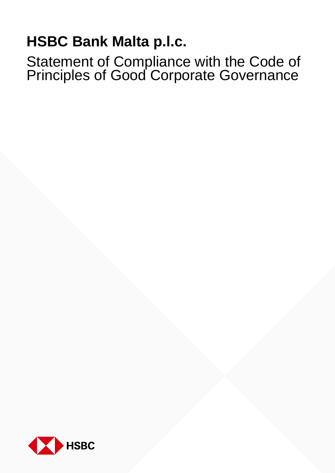# **HSBC Bank Malta p.l.c.**

Statement of Compliance with the Code of Principles of Good Corporate Governance

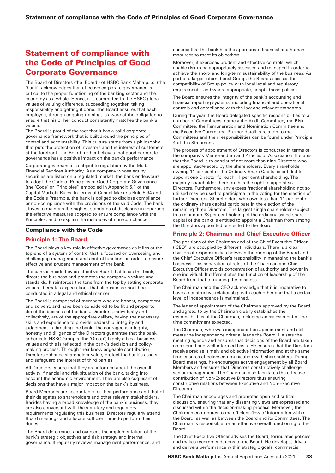# Statement of compliance with the Code of Principles of Good Corporate Governance

The Board of Directors (the 'Board') of HSBC Bank Malta p.l.c. (the 'bank') acknowledges that effective corporate governance is critical to the proper functioning of the banking sector and the economy as a whole. Hence, it is committed to the HSBC global values of valuing difference, succeeding together, taking responsibility and getting it done. The Board ensures that each employee, through ongoing training, is aware of the obligation to ensure that his or her conduct consistently matches the bank's values.

The Board is proud of the fact that it has a solid corporate governance framework that is built around the principles of control and accountability. This culture stems from a philosophy that puts the protection of investors and the interest of customers at the forefront. The Board further believes that good corporate governance has a positive impact on the bank's performance.

Corporate governance is subject to regulation by the Malta Financial Services Authority. As a company whose equity securities are listed on a regulated market, the bank endeavours to adopt the Code of Principles of Good Corporate Governance (the 'Code' or 'Principles') embodied in Appendix 5.1 of the Capital Markets Rules. In terms of Capital Markets Rule 5.94 and the Code's Preamble, the bank is obliged to disclose compliance or non-compliance with the provisions of the said Code. The bank strives to maintain the highest standards of disclosure in reporting the effective measures adopted to ensure compliance with the Principles, and to explain the instances of non-compliance.

# Compliance with the Code

# Principle 1: The Board

The Board plays a key role in effective governance as it lies at the top-end of a system of control that is focused on overseeing and challenging management and control functions in order to ensure effective and prudent management of the bank.

The bank is headed by an effective Board that leads the bank, directs the business and promotes the company's values and standards. It reinforces the tone from the top by setting corporate values. It creates expectations that all business should be conducted in a legal and ethical manner.

The Board is composed of members who are honest, competent and solvent, and have been considered to be fit and proper to direct the business of the bank. Directors, individually and collectively, are of the appropriate calibre, having the necessary skills and experience to provide leadership, integrity and judgement in directing the bank. The courageous integrity, honesty and diligence of the Directors guarantee that the bank adheres to HSBC Group's (the 'Group') highly ethical business values and this is reflected in the bank's decision and policymaking process. Through their knowledgeable contribution, Directors enhance shareholder value, protect the bank's assets and safeguard the interest of third parties.

All Directors ensure that they are informed about the overall activity, financial and risk situation of the bank, taking into account the economic environment. They are also cognisant of decisions that have a major impact on the bank's business.

Board Members are accountable for their performance and that of their delegates to shareholders and other relevant stakeholders. Besides having a broad knowledge of the bank's business, they are also conversant with the statutory and regulatory requirements regulating this business. Directors regularly attend Board meetings and allocate sufficient time to perform their duties.

The Board determines and oversees the implementation of the bank's strategic objectives and risk strategy and internal governance. It regularly reviews management performance. and ensures that the bank has the appropriate financial and human resources to meet its objectives.

Moreover, it exercises prudent and effective controls, which enable risk to be appropriately assessed and managed in order to achieve the short- and long-term sustainability of the business. As part of a larger international Group, the Board assesses the compatibility of Group policy with local legal and regulatory requirements, and where appropriate, adapts those policies.

The Board ensures the integrity of the bank's accounting and financial reporting systems, including financial and operational controls and compliance with the law and relevant standards.

During the year, the Board delegated specific responsibilities to a number of Committees, namely the Audit Committee, the Risk Committee, the Remuneration and Nomination Committee and the Executive Committee. Further detail in relation to the Committees and their responsibilities can be found under Principle 4 of this Statement.

The process of appointment of Directors is conducted in terms of the company's Memorandum and Articles of Association. It states that the Board is to consist of not more than nine Directors who are appointed/elected by the shareholders. Every shareholder owning 11 per cent of the Ordinary Share Capital is entitled to appoint one Director for each 11 per cent shareholding. The majority shareholder therefore has the right to appoint six Directors. Furthermore, any excess fractional shareholding not so utilised may be used to participate in the voting for the election of further Directors. Shareholders who own less than 11 per cent of the ordinary share capital participate in the election of the remaining three Directors. The largest single shareholder (subject to a minimum 33 per cent holding of the ordinary issued share capital of the bank) is entitled to appoint a Chairman from among the Directors appointed or elected to the Board.

# Principle 2: Chairman and Chief Executive Officer

The positions of the Chairman and of the Chief Executive Officer ('CEO') are occupied by different individuals. There is a clear division of responsibilities between the running of the Board and the Chief Executive Officer's responsibility in managing the bank's business. This separation of roles of the Chairman and Chief Executive Officer avoids concentration of authority and power in one individual. It differentiates the function of leadership of the Board from that of running the business.

The Chairman and the CEO acknowledge that it is imperative to have a constructive relationship with each other and that a certain level of independence is maintained.

The letter of appointment of the Chairman approved by the Board and agreed to by the Chairman clearly establishes the responsibilities of the Chairman, including an assessment of the time commitment expected.

The Chairman, who was independent on appointment and still meets the independence criteria, leads the Board. He sets the meeting agenda and ensures that decisions of the Board are taken on a sound and well-informed basis. He ensures that the Directors receive precise, timely and objective information and at the same time ensures effective communication with shareholders. During Board meetings, he encourages active engagement by all Board Members and ensures that Directors constructively challenge senior management. The Chairman also facilitates the effective contribution of Non-Executive Directors thus ensuring constructive relations between Executive and Non-Executive **Directors** 

The Chairman encourages and promotes open and critical discussion, ensuring that any dissenting views are expressed and discussed within the decision-making process. Moreover, the Chairman contributes to the efficient flow of information within the Board, as well as between the Board and its Committees. The Chairman is responsible for an effective overall functioning of the Board.

The Chief Executive Officer advises the Board, formulates policies and makes recommendations to the Board. He develops, drives and delivers performance within strategic goals, commercial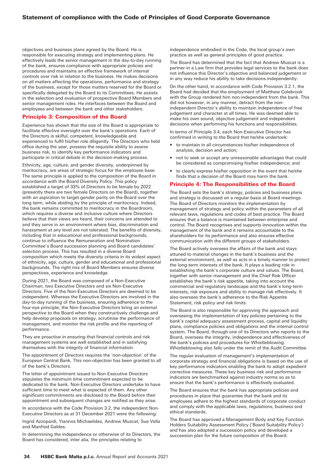objectives and business plans agreed by the Board. He is responsible for executing strategy and implementing plans. He effectively leads the senior management in the day-to-day running of the bank, ensures compliance with appropriate policies and procedures and maintains an effective framework of internal controls over risk in relation to the business. He makes decisions on all matters affecting the operations, performance and strategy of the business, except for those matters reserved for the Board or specifically delegated by the Board to its Committees. He assists in the selection and evaluation of prospective Board Members and senior management roles. He interfaces between the Board and employees and between the bank and other stakeholders.

### Principle 3: Composition of the Board

Experience has shown that the size of the Board is appropriate to facilitate effective oversight over the bank's operations. Each of the Directors is skilful, competent, knowledgeable and experienced to fulfil his/her role diligently. The Directors who held office during the year, possess the requisite ability to assess business risk, to identify key performance indicators and participate in critical debate in the decision-making process.

Ethnicity, age, culture, and gender diversity, underpinned by meritocracy, are areas of strategic focus for the employee base. The same principle is applied to the composition of the Board in accordance with the Board Diversity Policy. This policy established a target of 33% of Directors to be female by 2022 (presently there are two female Directors on the Board), together with an aspiration to target gender parity on the Board over the long term, while abiding by the principle of meritocracy. Indeed, the bank remains committed to meritocracy in the Boardroom, which requires a diverse and inclusive culture where Directors believe that their views are heard, their concerns are attended to and they serve in an environment where bias, discrimination and harassment at any level are not tolerated. The benefits of diversity, including that in educational and professional backgrounds continue to influence the Remuneration and Nomination Committee's Board succession planning and Board candidates' selection process. This has resulted in a diverse Board composition which meets the diversity criteria in its widest aspect of ethnicity, age, culture, gender and educational and professional backgrounds. The right mix of Board Members ensures diverse perspectives, experience and knowledge.

During 2021, the Board was composed of a Non-Executive Chairman, two Executive Directors and six Non-Executive Directors. Five of the Non-Executive Directors are deemed to be independent. Whereas the Executive Directors are involved in the day-to-day running of the business, ensuring adherence to the four-eye principle, the Non-Executive Directors bring an external perspective to the Board when they constructively challenge and help develop proposals on strategy, scrutinise the performance of management, and monitor the risk profile and the reporting of performance.

They are proactive in ensuring that financial controls and risk management systems are well established and in satisfying themselves with the integrity of financial information.

The appointment of Directors requires the 'non-objection' of the European Central Bank. This non-objection has been granted to all of the bank's Directors.

The letter of appointment issued to Non-Executive Directors stipulates the minimum time commitment expected to be dedicated to the bank. Non-Executive Directors undertake to have sufficient time to meet what is expected of them. Any other significant commitments are disclosed to the Board before their appointment and subsequent changes are notified as they arise.

In accordance with the Code Provision 3.2, the independent Non-Executive Directors as at 31 December 2021 were the following:

Ingrid Azzopardi, Yiannos Michaelides, Andrew Muscat, Sue Vella and Manfred Galdes.

In determining the independence or otherwise of its Directors, the Board has considered, inter alia, the principles relating to

independence embodied in the Code, the local group's own practice as well as general principles of good practice.

The Board has determined that the fact that Andrew Muscat is a partner in a Law firm that provides legal services to the bank does not influence this Director's objective and balanced judgement or in any way reduce his ability to take decisions independently.

On the other hand, in accordance with Code Provision 3.2.1, the Board had decided that the employment of Matthew Colebrook with the Group rendered him non-independent from the bank. This did not however, in any manner, detract from the nonindependent Director's ability to maintain independence of free judgement and character at all times. He was deemed able to make his own sound, objective judgement and independent decisions when performing his functions and responsibilities.

In terms of Principle 3.4, each Non-Executive Director has confirmed in writing to the Board that he/she undertook:

- to maintain in all circumstances his/her independence of analysis, decision and action;
- not to seek or accept any unreasonable advantages that could be considered as compromising his/her independence; and
- to clearly express his/her opposition in the event that he/she finds that a decision of the Board may harm the bank.

#### Principle 4: The Responsibilities of the Board

The Board sets the bank's strategy, policies and business plans and strategy is discussed on a regular basis at Board meetings. The Board of Directors monitors the implementation by management of strategy and policy within the parameters of all relevant laws, regulations and codes of best practice. The Board ensures that a balance is maintained between enterprise and control. The Board recognises and supports innovation within the management of the bank and it remains accountable to the shareholders for its performance and also ensures effective communication with the different groups of stakeholders.

The Board actively oversees the affairs of the bank and stays attuned to material changes in the bank's business and the external environment, as well as acts in a timely manner to protect the long-term interests of the bank. It plays a leading role in establishing the bank's corporate culture and values. The Board, together with senior management and the Chief Risk Officer establishes the bank's risk appetite, taking into account the commercial and regulatory landscape and the bank's long-term interests, risk exposure and ability to manage risk effectively. It also oversees the bank's adherence to the Risk Appetite Statement, risk policy and risk limits.

The Board is also responsible for approving the approach and overseeing the implementation of key policies pertaining to the bank's capital adequacy assessment process, capital and liquidity plans, compliance policies and obligations and the internal control system. The Board, through one of its Directors who reports to the Board, oversees the integrity, independence and effectiveness of the bank's policies and procedures for Whistleblowing. Whistleblowing also falls under the remit of the Audit Committee.

The regular evaluation of management's implementation of corporate strategy and financial obligations is based on the use of key performance indicators enabling the bank to adopt expedient corrective measures. These key business risk and performance indicators are benchmarked against industry norms so as to ensure that the bank's performance is effectively evaluated.

The Board ensures that the bank has appropriate policies and procedures in place that guarantee that the bank and its employees adhere to the highest standards of corporate conduct and comply with the applicable laws, regulations, business and ethical standards.

The Board has approved a Management Body and Key Function Holders Suitability Assessment Policy ('Board Suitability Policy') and has also adopted a succession policy and developed a succession plan for the future composition of the Board.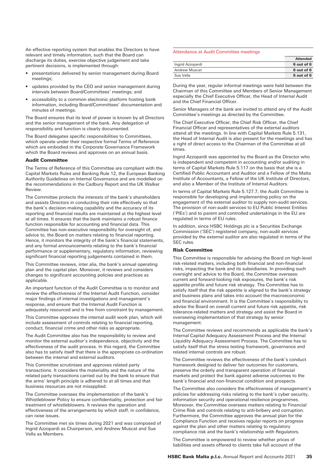An effective reporting system that enables the Directors to have relevant and timely information, such that the Board can discharge its duties, exercise objective judgement and take pertinent decisions, is implemented through:

- presentations delivered by senior management during Board meetings;
- updates provided by the CEO and senior management during intervals between Board/Committees' meetings; and
- accessibility to a common electronic platform hosting bank information, including Board/Committees' documentation and minutes of meetings.

The Board ensures that its level of power is known by all Directors and the senior management of the bank. Any delegation of responsibility and function is clearly documented.

The Board delegates specific responsibilities to Committees, which operate under their respective formal Terms of Reference which are embodied in the Corporate Governance Framework which the Board reviews and approves on an annual basis.

#### Audit Committee

The Terms of Reference of this Committee are compliant with the Capital Markets Rules and Banking Rule 12, the European Banking Authority Guidelines on Internal Governance and are modelled on the recommendations in the Cadbury Report and the UK Walker Review.

The Committee protects the interests of the bank's shareholders and assists Directors in conducting their role effectively so that the bank's decision-making capability and the accuracy of its reporting and financial results are maintained at the highest level at all times. It ensures that the bank maintains a robust finance function responsible for accounting and financial data. This Committee has non-executive responsibility for oversight of, and advice to, the Board on matters relating to financial reporting. Hence, it monitors the integrity of the bank's financial statements, and any formal announcements relating to the bank's financial performance or supplementary, regulatory information, reviewing significant financial reporting judgements contained in them.

This Committee reviews, inter alia, the bank's annual operating plan and the capital plan. Moreover, it reviews and considers changes to significant accounting policies and practices as applicable.

An important function of the Audit Committee is to monitor and review the effectiveness of the Internal Audit Function, consider major findings of internal investigations and management's response, and ensure that the Internal Audit Function is adequately resourced and is free from constraint by management.

This Committee approves the internal audit work plan, which will include assessment of controls relating to financial reporting, conduct, financial crime and other risks as appropriate.

The Audit Committee also has the responsibility to review and monitor the external auditor's independence, objectivity and the effectiveness of the audit process. In this regard, the Committee also has to satisfy itself that there is the appropriate co-ordination between the internal and external auditors.

This Committee scrutinises and approves related party transactions. It considers the materiality and the nature of the related party transactions carried out by the bank to ensure that the arms' length principle is adhered to at all times and that business resources are not misapplied.

The Committee oversees the implementation of the bank's Whistleblower Policy to ensure confidentiality, protection and fair treatment of whistleblowers. It reviews the operation and effectiveness of the arrangements by which staff, in confidence, can raise issues.

The Committee met six times during 2021 and was composed of Ingrid Azzopardi as Chairperson, and Andrew Muscat and Sue Vella as Members.

#### Attendance at Audit Committee meetings

|                      | Attended   |
|----------------------|------------|
| Ingrid Azzopardi     | 6 out of 6 |
| <b>Andrew Muscat</b> | 6 out of 6 |
| Sue Vella            | 6 out of 6 |

During the year, regular informal meetings were held between the Chairman of this Committee and Members of Senior Management especially the Chief Executive Officer, the Head of Internal Audit and the Chief Financial Officer.

Senior Managers of the bank are invited to attend any of the Audit Committee's meetings as directed by the Committee.

The Chief Executive Officer, the Chief Risk Officer, the Chief Financial Officer and representatives of the external auditors attend all the meetings. In line with Capital Markets Rule 5.131, the Head of Internal Audit is also present for the meetings and has a right of direct access to the Chairman of the Committee at all times.

Ingrid Azzopardi was appointed by the Board as the Director who is independent and competent in accounting and/or auditing in terms of Capital Markets Rule 5.117 on the basis that she is a Certified Public Accountant and Auditor and a Fellow of the Malta Institute of Accountants, a Fellow of the UK Institute of Directors, and also a Member of the Institute of Internal Auditors.

In terms of Capital Markets Rule 5.127.7, the Audit Committee is responsible for developing and implementing policy on the engagement of the external auditor to supply non-audit services. The provision of non-audit services to EU Public Interest Entities ('PIEs') and to parent and controlled undertakings in the EU are regulated in terms of EU rules.

In addition, since HSBC Holdings plc is a Securities Exchange Commission ('SEC') registered company, non-audit services provided by the external auditor are also regulated in terms of the SEC rules.

#### Risk Committee

This Committee is responsible for advising the Board on high-level risk-related matters, including both financial and non-financial risks, impacting the bank and its subsidiaries. In providing such oversight and advice to the Board, the Committee oversees: current and forward-looking risk exposures, the bank's risk appetite profile and future risk strategy. The Committee has to satisfy itself that the risk appetite is aligned to the bank's strategy and business plans and takes into account the macroeconomic and financial environment. It is the Committee's responsibility to advise the Board on overall current and future risk appetite, risk tolerance-related matters and strategy and assist the Board in overseeing implementation of that strategy by senior management.

The Committee reviews and recommends as applicable the bank's Internal Capital Adequacy Assessment Process and the Internal Liquidity Adequacy Assessment Process. The Committee has to satisfy itself that the stress testing framework, governance and related internal controls are robust.

The Committee reviews the effectiveness of the bank's conduct framework designed to deliver fair outcomes for customers, preserve the orderly and transparent operation of financial markets and protect the bank against adverse outcomes to the bank's financial and non-financial condition and prospects.

The Committee also considers the effectiveness of management's policies for addressing risks relating to the bank's cyber security, information security and operational resilience programmes. Moreover, the Committee oversees matters relating to Financial Crime Risk and controls relating to anti-bribery and corruption. Furthermore, the Committee approves the annual plan for the Compliance Function and receives regular reports on progress against the plan and other matters relating to regulatory compliance risk and the bank's relationship with Regulators.

The Committee is empowered to review whether prices of liabilities and assets offered to clients take full account of the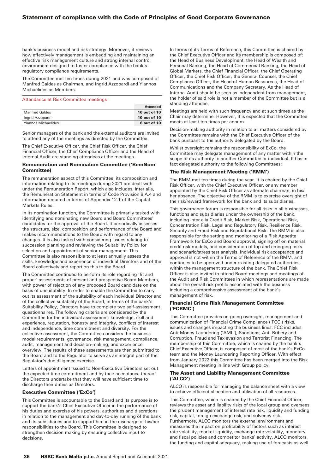# Statement of compliance with the Code of Principles of Good Corporate Governance

bank's business model and risk strategy. Moreover, it reviews how effectively management is embedding and maintaining an effective risk management culture and strong internal control environment designed to foster compliance with the bank's regulatory compliance requirements.

The Committee met ten times during 2021 and was composed of Manfred Galdes as Chairman, and Ingrid Azzopardi and Yiannos Michaelides as Members.

#### Attendance at Risk Committee meetings

|                       | <b>Attended</b> |
|-----------------------|-----------------|
| <b>Manfred Galdes</b> | 10 out of 10    |
| Ingrid Azzopardi      | 10 out of 10    |
| Yiannos Michaelides   | 6 out of 10     |

Senior managers of the bank and the external auditors are invited to attend any of the meetings as directed by the Committee.

The Chief Executive Officer, the Chief Risk Officer, the Chief Financial Officer, the Chief Compliance Officer and the Head of Internal Audit are standing attendees at the meetings.

#### Remuneration and Nomination Committee ('RemNom' Committee)

The remuneration aspect of this Committee, its composition and information relating to its meetings during 2021 are dealt with under the Remuneration Report, which also includes, inter alia, the Remuneration Statement in terms of Code Provision 8.A.4 and information required in terms of Appendix 12.1 of the Capital Markets Rules.

In its nomination function, the Committee is primarily tasked with identifying and nominating new Board and Board Committees' candidates for the approval of the Board. It periodically assesses the structure, size, composition and performance of the Board and makes recommendations to the Board with regard to any changes. It is also tasked with considering issues relating to succession planning and reviewing the Suitability Policy for selection and appointment of senior management. This Committee is also responsible to at least annually assess the skills, knowledge and experience of individual Directors and of the Board collectively and report on this to the Board.

The Committee continued to perform its role regarding 'fit and proper' assessments of present and prospective Board Members, with power of rejection of any proposed Board candidate on the basis of unsuitability. In order to enable the Committee to carry out its assessment of the suitability of each individual Director and of the collective suitability of the Board, in terms of the bank's Suitability Policy, Directors have to complete two self-assessment questionnaires. The following criteria are considered by the Committee for the individual assessment: knowledge, skill and experience, reputation, honesty and integrity, conflicts of interest and independence, time commitment and diversity. For the collective assessment, the Committee considers the business model requirements, governance, risk management, compliance, audit, management and decision-making, and experience overview. The results of these assessments are then submitted to the Board and to the Regulator to serve as an integral part of the Regulator's due diligence exercise.

Letters of appointment issued to Non-Executive Directors set out the expected time commitment and by their acceptance thereof the Directors undertake that they will have sufficient time to discharge their duties as Directors.

#### Executive Committee ('ExCo')

This Committee is accountable to the Board and its purpose is to support the bank's Chief Executive Officer in the performance of his duties and exercise of his powers, authorities and discretions in relation to the management and day-to-day running of the bank and its subsidiaries and to support him in the discharge of his/her responsibilities to the Board. This Committee is designed to strengthen decision making by ensuring collective input to decisions.

In terms of its Terms of Reference, this Committee is chaired by the Chief Executive Officer and its membership is composed of: the Head of Business Development, the Head of Wealth and Personal Banking, the Head of Commercial Banking, the Head of Global Markets, the Chief Financial Officer, the Chief Operating Officer, the Chief Risk Officer, the General Counsel, the Chief Compliance Officer, the Head of Human Resources, the Head of Communications and the Company Secretary. As the Head of Internal Audit should be seen as independent from management, the holder of said role is not a member of the Committee but is a standing attendee.

Meetings are held with such frequency and at such times as the Chair may determine. However, it is expected that the Committee meets at least ten times per annum.

Decision-making authority in relation to all matters considered by the Committee remains with the Chief Executive Officer of the bank pursuant to the authority delegated by the Board.

Whilst oversight remains the responsibility of ExCo, the Committee may delegate management of any matter within the scope of its authority to another Committee or individual. It has in fact delegated authority to the following Committees:

#### The Risk Management Meeting ('RMM')

The RMM met ten times during the year. It is chaired by the Chief Risk Officer, with the Chief Executive Officer, or any member appointed by the Chief Risk Officer as alternate chairman, in his/ her absence. The objective of the RMM is to exercise oversight of the risk/reward framework for the bank and its subsidiaries.

This governance forum is responsible for all risks in all businesses, functions and subsidiaries under the ownership of the bank, including inter alia Credit Risk, Market Risk, Operational Risk, Concentration Risk, Legal and Regulatory Risk, Resilience Risk, Security and Fraud Risk and Reputational Risk. The RMM is also responsible for the setting and monitoring of a Risk Appetite Framework for ExCo and Board approval, signing off on material credit risk models, and consideration of top and emerging risks and scenario/stress test analysis. Individual risk acceptance and approval is not within the Terms of Reference of the RMM, and continues to be approved under existing delegated authorities within the management structure of the bank. The Chief Risk Officer is also invited to attend Board meetings and meetings of the Audit and Risk Committees in which representations are made about the overall risk profile associated with the business including a comprehensive assessment of the bank's management of risk.

#### Financial Crime Risk Management Committee ('FCRMC')

This Committee provides on-going oversight, management and communication of Financial Crime Compliance ('FCC') risks, issues and changes impacting the business lines. FCC includes Anti-Money Laundering ('AML'), Sanctions, Anti-Bribery and Corruption, Fraud and Tax evasion and Terrorist Financing. The membership of this Committee, which is chaired by the bank's Chief Executive Officer, is composed of most of the bank's ExCo team and the Money Laundering Reporting Officer. With effect from January 2022 this Committee has been merged into the Risk Management meeting in line with Group policy.

#### The Asset and Liability Management Committee ('ALCO')

ALCO is responsible for managing the balance sheet with a view to achieve efficient allocation and utilisation of all resources.

This Committee, which is chaired by the Chief Financial Officer, reviews the asset and liability risks of the local group and oversees the prudent management of interest rate risk, liquidity and funding risk, capital, foreign exchange risk, and solvency risk. Furthermore, ALCO monitors the external environment and measures the impact on profitability of factors such as interest rate volatility, market liquidity, exchange rate volatility, monetary and fiscal policies and competitor banks' activity. ALCO monitors the funding and capital adequacy, making use of forecasts as well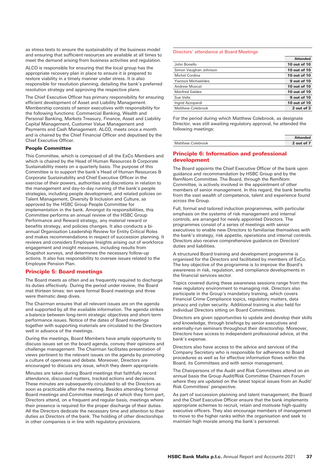as stress tests to ensure the sustainability of the business model and ensuring that sufficient resources are available at all times to meet the demand arising from business activities and regulation.

ALCO is responsible for ensuring that the local group has the appropriate recovery plan in place to ensure it is prepared to restore viability in a timely manner under stress. It is also responsible for resolution planning, detailing the bank's preferred resolution strategy and approving the respective plans.

The Chief Executive Officer has primary responsibility for ensuring efficient development of Asset and Liability Management. Membership consists of senior executives with responsibility for the following functions: Commercial Banking, Wealth and Personal Banking, Markets Treasury, Finance, Asset and Liability Capital Management, Customer Value Management and Payments and Cash Management. ALCO, meets once a month and is chaired by the Chief Financial Officer and deputised by the Chief Executive Officer.

#### People Committee

This Committee, which is composed of all the ExCo Members and which is chaired by the Head of Human Resources & Corporate Sustainability meets on a quarterly basis. The purpose of this Committee is to support the bank's Head of Human Resources & Corporate Sustainability and Chief Executive Officer in the exercise of their powers, authorities and discretions in relation to the management and day-to-day running of the bank's people strategies, including people development, and related policies on Talent Management, Diversity & Inclusion and Culture, as approved by the HSBC Group People Committee for implementation in the bank. Amongst its responsibilities, this Committee performs an annual review of the HSBC Group Performance and Reward strategy, any material reward or benefits strategy, and policies changes. It also conducts a biannual Organisation Leadership Review for Entity Critical Roles and makes recommendations in respect of succession planning. It reviews and considers Employee Insights arising out of workforce engagement and insight measures, including results from Snapshot surveys, and determines the necessary follow-up actions. It also has responsibility to oversee issues related to the Employee Pension Plan.

#### Principle 5: Board meetings

The Board meets as often and as frequently required to discharge its duties effectively. During the period under review, the Board met thirteen times: ten were formal Board meetings and three were thematic deep dives.

The Chairman ensures that all relevant issues are on the agenda and supported by all the available information. The agenda strikes a balance between long-term strategic objectives and short-term performance issues. Notice of the dates of Board meetings together with supporting materials are circulated to the Directors well in advance of the meetings.

During the meetings, Board Members have ample opportunity to discuss issues set on the board agenda, convey their opinions and challenge management. The Chairman facilitates presentation of views pertinent to the relevant issues on the agenda by promoting a culture of openness and debate. Moreover, Directors are encouraged to discuss any issue, which they deem appropriate.

Minutes are taken during Board meetings that faithfully record attendance, discussed matters, tracked actions and decisions. These minutes are subsequently circulated to all the Directors as soon as practicable after the meeting. Besides attending formal Board meetings and Committee meetings of which they form part, Directors attend, on a frequent and regular basis, meetings where their presence is required for the proper discharge of their duties. All the Directors dedicate the necessary time and attention to their duties as Directors of the bank. The holding of other directorships in other companies is in line with regulatory provisions.

#### Directors' attendance at Board Meetings

|                            | <b>Attended</b> |
|----------------------------|-----------------|
| John Bonello               | 10 out of 10    |
| Simon Vaughan Johnson      | 10 out of 10    |
| Michel Cordina             | 10 out of 10    |
| <b>Yiannos Michaelides</b> | 9 out of 10     |
| <b>Andrew Muscat</b>       | 10 out of 10    |
| <b>Manfred Galdes</b>      | 10 out of 10    |
| Sue Vella                  | 9 out of 10     |
| Ingrid Azzopardi           | 10 out of 10    |
| <b>Matthew Colebrook</b>   | 2 out of 3      |
|                            |                 |

For the period during which Matthew Colebrook, as designate Director, was still awaiting regulatory approval, he attended the following meetings:

|                          | <b>Attended</b> |
|--------------------------|-----------------|
| <b>Matthew Colebrook</b> | 2 out of 7      |

## Principle 6: Information and professional development

The Board appoints the Chief Executive Officer of the bank upon guidance and recommendation by HSBC Group and by the RemNom Committee. The Board, through the RemNom Committee, is actively involved in the appointment of other members of senior management. In this regard, the bank benefits from the vast wealth of competence, talent and experience found across the Group.

Full, formal and tailored induction programmes, with particular emphasis on the systems of risk management and internal controls, are arranged for newly appointed Directors. The programmes consist of a series of meetings with senior executives to enable new Directors to familiarise themselves with the bank's strategy, risk appetite, operations and internal controls. Directors also receive comprehensive guidance on Directors' duties and liabilities.

A structured Board training and development programme is organised for the Directors and facilitated by members of ExCo. The key objective of the programme is to improve the Board's awareness in risk, regulation, and compliance developments in the financial services sector.

Topics covered during these awareness sessions range from the new regulatory environment to managing risk. Directors also participate in the Group's mandatory training, which covers Financial Crime Compliance topics, regulatory matters, data privacy and cyber security. Additional training is also held for individual Directors sitting on Board Committees.

Directors are given opportunities to update and develop their skills and knowledge, through briefings by senior executives and externally-run seminars throughout their directorship. Moreover, Directors have access to independent professional advice, at the bank's expense.

Directors also have access to the advice and services of the Company Secretary who is responsible for adherence to Board procedures as well as for effective information flows within the Board, its Committees and with senior management.

The Chairpersons of the Audit and Risk Committees attend on an annual basis the Group Audit/Risk Committee Chairmen Forum where they are updated on the latest topical issues from an Audit/ Risk Committees' perspective.

As part of succession planning and talent management, the Board and the Chief Executive Officer ensure that the bank implements appropriate schemes to recruit, retain and motivate high-quality executive officers. They also encourage members of management to move to the higher ranks within the organisation and seek to maintain high morale among the bank's personnel.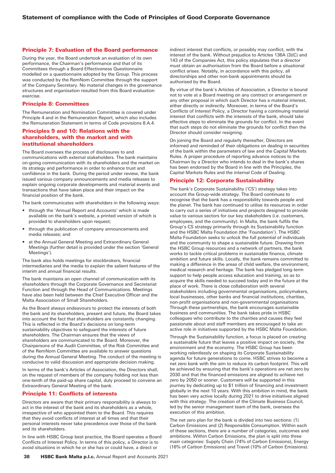#### Principle 7: Evaluation of the Board performance

During the year, the Board undertook an evaluation of its own performance, the Chairman's performance and that of its Committees through a Board Effectiveness Questionnaire modelled on a questionnaire adopted by the Group. This process was conducted by the RemNom Committee through the support of the Company Secretary. No material changes in the governance structures and organisation resulted from this Board evaluation exercise.

#### Principle 8: Committees

The Remuneration and Nomination Committee is covered under Principle 4 and in the Remuneration Report, which also includes the Remuneration Statement in terms of Code provisions 8.A.4.

### Principles 9 and 10: Relations with the shareholders, with the market and with institutional shareholders

The Board oversees the process of disclosures to and communications with external stakeholders. The bank maintains on-going communication with its shareholders and the market on its strategy and performance in order to enhance trust and confidence in the bank. During the period under review, the bank issued various company announcements and media releases to explain ongoing corporate developments and material events and transactions that have taken place and their impact on the financial position of the bank.

The bank communicates with shareholders in the following ways:

- through the 'Annual Report and Accounts' which is made available on the bank's website, a printed version of which is provided to shareholders upon request;
- through the publication of company announcements and media releases; and
- at the Annual General Meeting and Extraordinary General Meetings (further detail is provided under the section 'General Meetings').

The bank also holds meetings for stockbrokers, financial intermediaries and the media to explain the salient features of the interim and annual financial results.

The bank maintains an open channel of communication with its shareholders through the Corporate Governance and Secretariat Function and through the Head of Communications. Meetings have also been held between the Chief Executive Officer and the Malta Association of Small Shareholders.

As the Board always endeavours to protect the interests of both the bank and its shareholders, present and future, the Board takes into account the fact that shareholders are constantly changing. This is reflected in the Board's decisions on long-term sustainability objectives to safeguard the interests of future shareholders. The Chairman ensures that the views of shareholders are communicated to the Board. Moreover, the Chairpersons of the Audit Committee, of the Risk Committee and of the RemNom Committee are available to answer questions during the Annual General Meeting. The conduct of the meeting is conducive to valid discussion and appropriate decision making.

In terms of the bank's Articles of Association, the Directors shall, on the request of members of the company holding not less than one-tenth of the paid-up share capital, duly proceed to convene an Extraordinary General Meeting of the bank.

### Principle 11: Conflicts of interests

Directors are aware that their primary responsibility is always to act in the interest of the bank and its shareholders as a whole, irrespective of who appointed them to the Board. This requires that they avoid conflicts of interest at all times and that their personal interests never take precedence over those of the bank and its shareholders.

In line with HSBC Group best practice, the Board operates a Board Conflicts of Interest Policy. In terms of this policy, a Director is to avoid situations in which he or she has or could have, a direct or

indirect interest that conflicts, or possibly may conflict, with the interest of the bank. Without prejudice to Articles 136A (3)(C) and 143 of the Companies Act, this policy stipulates that a director must obtain an authorisation from the Board before a situational conflict arises. Notably, in accordance with this policy, all directorships and other non-bank appointments should be authorised by the Board.

By virtue of the bank's Articles of Association, a Director is bound not to vote at a Board meeting on any contract or arrangement or any other proposal in which such Director has a material interest, either directly or indirectly. Moreover, in terms of the Board's Conflicts of Interest Policy, a Director having a continuing material interest that conflicts with the interests of the bank, should take effective steps to eliminate the grounds for conflict. In the event that such steps do not eliminate the grounds for conflict then the Director should consider resigning.

On joining the Board and regularly thereafter, Directors are informed and reminded of their obligations on dealing in securities of the bank within the parameters of law and the Capital Markets Rules. A proper procedure of reporting advance notices to the Chairman by a Director who intends to deal in the bank's shares has been endorsed by the Board in line with the Principles, the Capital Markets Rules and the internal Code of Dealing.

### Principle 12: Corporate Sustainability

The bank's Corporate Sustainability ('CS') strategy takes into account the Group-wide strategy. The Board continues to recognise that the bank has a responsibility towards people and the planet. The bank has continued to utilise its resources in order to carry out a series of initiatives and projects designed to provide value to various sectors for our key stakeholders (i.e. customers, employees, and the community). In Malta, the bank fulfils the Group's CS strategy primarily through its Sustainability function and the HSBC Malta Foundation (the 'Foundation'). The HSBC Malta Foundation seeks to unlock the full potential of individuals and the community to shape a sustainable future. Drawing from the HSBC Group resources and a network of partners, the bank works to tackle critical problems in sustainable finance, climate ambition and future skills. Locally, the bank remains committed to making a difference in the areas of child welfare, the environment, medical research and heritage. The bank has pledged long-term support to help people access education and training, so as to acquire the skills needed to succeed today and in the future at the place of work. There is close collaboration with several stakeholders including governmental organisations, policymakers, local businesses, other banks and financial institutions, charities, non-profit organisations and non-governmental organisations Through these partnerships, the bank encourages sustainable business and communities. The bank takes pride in HSBC colleagues who contribute to the charities and causes they feel passionate about and staff members are encouraged to take an active role in initiatives supported by the HSBC Malta Foundation.

Through the Sustainability function, a focus is placed on creating a sustainable future that leaves a positive impact on society, the environment and the economy. The HSBC Group has been working relentlessly on shaping its Corporate Sustainability agenda for future generations to come. HSBC strives to become a net zero bank with the aim to reduce its carbon footprint. This will be achieved by ensuring that the bank's operations are net zero by 2030 and that the financed emissions are aligned to achieve net zero by 2050 or sooner. Customers will be supported in this journey by dedicating up to \$1 trillion of financing and investment globally in the next 10 years. With this ambition in mind, the bank has been very active locally during 2021 to drive initiatives aligned with this strategy. The creation of the Climate Business Council, led by the senior management team of the bank, oversees the execution of this ambition.

The net zero plan for the bank is divided into two sections: (1) Carbon Emissions and (2) Responsible Consumption. Within each of these sections, there are a number of categories, outcomes and ambitions. Within Carbon Emissions, the plan is split into three main categories: Supply Chain (74% of Carbon Emissions), Energy (16% of Carbon Emissions) and Travel (10% of Carbon Emissions).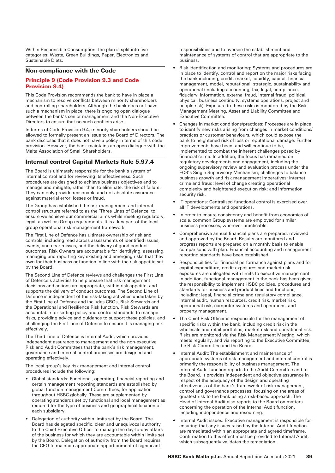Within Responsible Consumption, the plan is split into five categories: Waste, Green Buildings, Paper, Electronics and Sustainable Diets.

# Non-compliance with the Code

### Principle 9 (Code Provision 9.3 and Code Provision 9.4)

This Code Provision recommends the bank to have in place a mechanism to resolve conflicts between minority shareholders and controlling shareholders. Although the bank does not have such a mechanism in place, there is ongoing open dialogue between the bank's senior management and the Non-Executive Directors to ensure that no such conflicts arise.

In terms of Code Provision 9.4, minority shareholders should be allowed to formally present an issue to the Board of Directors. The bank discloses that it does not have a policy in terms of this code provision. However, the bank maintains an open dialogue with the Malta Association of Small Shareholders.

# Internal control Capital Markets Rule 5.97.4

The Board is ultimately responsible for the bank's system of internal control and for reviewing its effectiveness. Such procedures are designed to achieve business objectives and to manage and mitigate, rather than to eliminate, the risk of failure. They can only provide reasonable and not absolute assurance against material error, losses or fraud.

The Group has established the risk management and internal control structure referred to as the 'Three Lines of Defence' to ensure we achieve our commercial aims while meeting regulatory, legal, as well as Group requirements. It is a key part of the local group operational risk management framework.

The First Line of Defence has ultimate ownership of risk and controls, including read across assessments of identified issues, events, and near misses, and the delivery of good conduct outcomes. Risk Owners are accountable for identifying, assessing, managing and reporting key existing and emerging risks that they own for their business or function in line with the risk appetite set by the Board.

The Second Line of Defence reviews and challenges the First Line of Defence's activities to help ensure that risk management decisions and actions are appropriate, within risk appetite, and supports the delivery of conduct outcomes. The Second Line of Defence is independent of the risk-taking activities undertaken by the First Line of Defence and includes CROs, Risk Stewards and the Operational and Resilience Risk function. Risk Stewards are accountable for setting policy and control standards to manage risks, providing advice and guidance to support these policies, and challenging the First Line of Defence to ensure it is managing risk effectively.

The Third Line of Defence is Internal Audit, which provides independent assurance to management and the non-executive Risk and Audit Committees that the bank's risk management, governance and internal control processes are designed and operating effectively.

The local group's key risk management and internal control procedures include the following:

- Global standards: Functional, operating, financial reporting and certain management reporting standards are established by global function management Committees, for application throughout HSBC globally. These are supplemented by operating standards set by functional and local management as required for the type of business and geographical location of each subsidiary.
- Delegation of authority within limits set by the Board: The Board has delegated specific, clear and unequivocal authority to the Chief Executive Officer to manage the day-to-day affairs of the business for which they are accountable within limits set by the Board. Delegation of authority from the Board requires the CEO to maintain appropriate apportionment of significant

responsibilities and to oversee the establishment and maintenance of systems of control that are appropriate to the business.

- Risk identification and monitoring: Systems and procedures are in place to identify, control and report on the major risks facing the bank including, credit, market, liquidity, capital, financial management, model, reputational, strategic, sustainability and operational (including accounting, tax, legal, compliance, fiduciary, information, external fraud, internal fraud, political, physical, business continuity, systems operations, project and people risk). Exposure to these risks is monitored by the Risk Management Meeting, Asset and Liability Committee and Executive Committee.
- Changes in market conditions/practices: Processes are in place to identify new risks arising from changes in market conditions/ practices or customer behaviours, which could expose the bank to heightened risk of loss or reputational damage. Further improvements have been, and will continue to be, implemented to combat the inherent challenges posed by financial crime. In addition, the focus has remained on regulatory developments and engagement, including the ongoing supervisory review and evaluation process under the ECB's Single Supervisory Mechanism; challenges to balance business growth and risk management imperatives; internet crime and fraud; level of change creating operational complexity and heightened execution risk; and information security risk.
- IT operations: Centralised functional control is exercised over all IT developments and operations.
- In order to ensure consistency and benefit from economies of scale, common Group systems are employed for similar business processes, wherever practicable.
- Comprehensive annual financial plans are prepared, reviewed and approved by the Board. Results are monitored and progress reports are prepared on a monthly basis to enable comparisons with plan. Financial accounting and management reporting standards have been established.
- Responsibilities for financial performance against plans and for capital expenditure, credit exposures and market risk exposures are delegated with limits to executive management. In addition, functional management in the bank has been given the responsibility to implement HSBC policies, procedures and standards for business and product lines and functions, including: legal, financial crime and regulatory compliance, internal audit, human resources, credit risk, market risk, operational risk, computer systems and operations, and property management.
- The Chief Risk Officer is responsible for the management of specific risks within the bank, including credit risk in the wholesale and retail portfolios, market risk and operational risk. Risks are monitored via the Risk Management Meeting, which meets regularly, and via reporting to the Executive Committee, the Risk Committee and the Board.
- Internal Audit: The establishment and maintenance of appropriate systems of risk management and internal control is primarily the responsibility of business management. The Internal Audit function reports to the Audit Committee and to the Board. It provides independent and objective assurance in respect of the adequacy of the design and operating effectiveness of the bank's framework of risk management, control and governance processes, focusing on the areas of greatest risk to the bank using a risk-based approach. The Head of Internal Audit also reports to the Board on matters concerning the operation of the Internal Audit function, including independence and resourcing.
- Internal Audit issues: Executive management is responsible for ensuring that any issues raised by the Internal Audit function are remediated within an appropriate and agreed timeframe. Confirmation to this effect must be provided to Internal Audit, which subsequently validates the remediation.